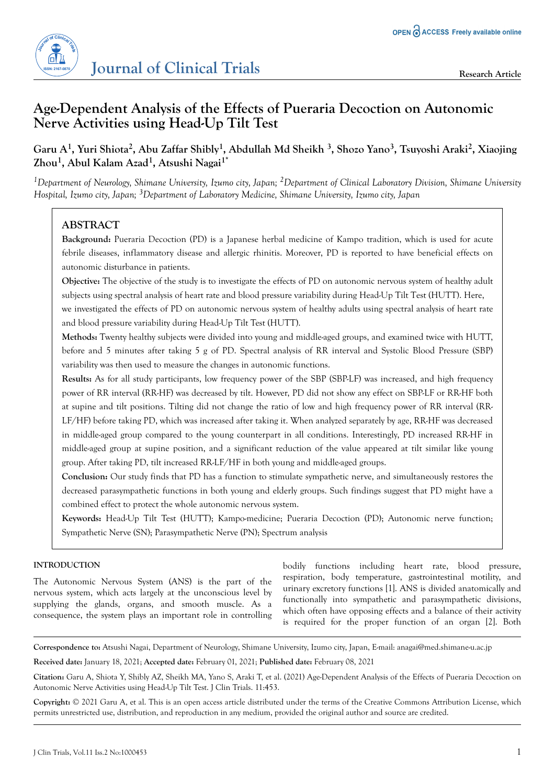

# **Age-Dependent Analysis of the Effects of Pueraria Decoction on Autonomic Nerve Activities using Head-Up Tilt Test**

## **Garu A<sup>1</sup> , Yuri Shiota<sup>2</sup> , Abu Zaffar Shibly<sup>1</sup> , Abdullah Md Sheikh <sup>3</sup> , Shozo Yano<sup>3</sup> , Tsuyoshi Araki<sup>2</sup> , Xiaojing Zhou<sup>1</sup> , Abul Kalam Azad<sup>1</sup> , Atsushi Nagai1\***

*<sup>1</sup>Department of Neurology, Shimane University, Izumo city, Japan; 2Department of Clinical Laboratory Division, Shimane University Hospital, Izumo city, Japan; 3Department of Laboratory Medicine, Shimane University, Izumo city, Japan*

## **ABSTRACT**

**Background:** Pueraria Decoction (PD) is a Japanese herbal medicine of Kampo tradition, which is used for acute febrile diseases, inflammatory disease and allergic rhinitis. Moreover, PD is reported to have beneficial effects on autonomic disturbance in patients.

**Objective:** The objective of the study is to investigate the effects of PD on autonomic nervous system of healthy adult subjects using spectral analysis of heart rate and blood pressure variability during Head-Up Tilt Test (HUTT). Here,

we investigated the effects of PD on autonomic nervous system of healthy adults using spectral analysis of heart rate and blood pressure variability during Head-Up Tilt Test (HUTT).

**Methods:** Twenty healthy subjects were divided into young and middle-aged groups, and examined twice with HUTT, before and 5 minutes after taking 5 g of PD. Spectral analysis of RR interval and Systolic Blood Pressure (SBP) variability was then used to measure the changes in autonomic functions.

**Results:** As for all study participants, low frequency power of the SBP (SBP-LF) was increased, and high frequency power of RR interval (RR-HF) was decreased by tilt. However, PD did not show any effect on SBP-LF or RR-HF both at supine and tilt positions. Tilting did not change the ratio of low and high frequency power of RR interval (RR-LF/HF) before taking PD, which was increased after taking it. When analyzed separately by age, RR-HF was decreased in middle-aged group compared to the young counterpart in all conditions. Interestingly, PD increased RR-HF in middle-aged group at supine position, and a significant reduction of the value appeared at tilt similar like young group. After taking PD, tilt increased RR-LF/HF in both young and middle-aged groups.

**Conclusion:** Our study finds that PD has a function to stimulate sympathetic nerve, and simultaneously restores the decreased parasympathetic functions in both young and elderly groups. Such findings suggest that PD might have a combined effect to protect the whole autonomic nervous system.

**Keywords:** Head-Up Tilt Test (HUTT); Kampo-medicine; Pueraria Decoction (PD); Autonomic nerve function; Sympathetic Nerve (SN); Parasympathetic Nerve (PN); Spectrum analysis

## **INTRODUCTION**

The Autonomic Nervous System (ANS) is the part of the nervous system, which acts largely at the unconscious level by supplying the glands, organs, and smooth muscle. As a consequence, the system plays an important role in controlling

bodily functions including heart rate, blood pressure, respiration, body temperature, gastrointestinal motility, and urinary excretory functions [1]. ANS is divided anatomically and functionally into sympathetic and parasympathetic divisions, which often have opposing effects and a balance of their activity is required for the proper function of an organ [2]. Both

**Correspondence to:** Atsushi Nagai, Department of Neurology, Shimane University, Izumo city, Japan, E-mail: anagai@med.shimane-u.ac.jp

**Received date:** January 18, 2021; **Accepted date:** February 01, 2021; **Published date:** February 08, 2021

**Citation:** Garu A, Shiota Y, Shibly AZ, Sheikh MA, Yano S, Araki T, et al. (2021) Age-Dependent Analysis of the Effects of Pueraria Decoction on Autonomic Nerve Activities using Head-Up Tilt Test. J Clin Trials. 11:453.

**Copyright:** © 2021 Garu A, et al. This is an open access article distributed under the terms of the Creative Commons Attribution License, which permits unrestricted use, distribution, and reproduction in any medium, provided the original author and source are credited.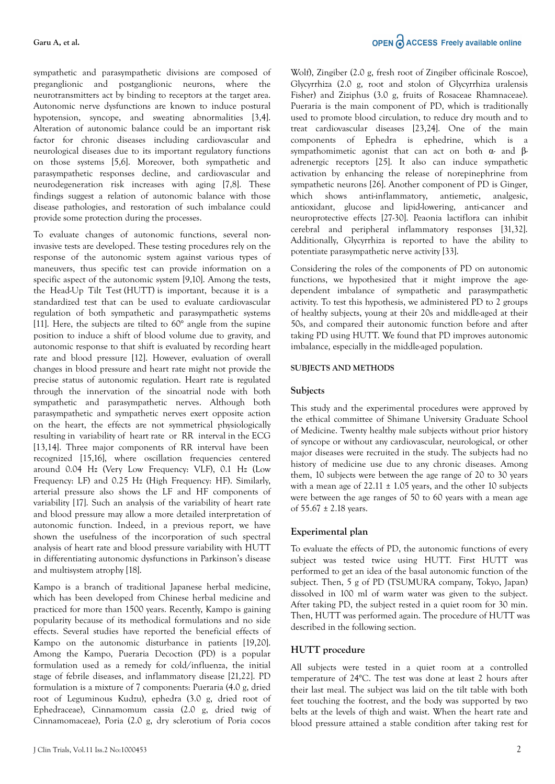OPEN CACCESS Freely available online

sympathetic and parasympathetic divisions are composed of preganglionic and postganglionic neurons, where the neurotransmitters act by binding to receptors at the target area. Autonomic nerve dysfunctions are known to induce postural hypotension, syncope, and sweating abnormalities [3,4]. Alteration of autonomic balance could be an important risk factor for chronic diseases including cardiovascular and neurological diseases due to its important regulatory functions on those systems [5,6]. Moreover, both sympathetic and parasympathetic responses decline, and cardiovascular and neurodegeneration risk increases with aging [7,8]. These findings suggest a relation of autonomic balance with those disease pathologies, and restoration of such imbalance could provide some protection during the processes.

To evaluate changes of autonomic functions, several noninvasive tests are developed. These testing procedures rely on the response of the autonomic system against various types of maneuvers, thus specific test can provide information on a specific aspect of the autonomic system [9,10]. Among the tests, the Head-Up Tilt Test (HUTT) is important, because it is a standardized test that can be used to evaluate cardiovascular regulation of both sympathetic and parasympathetic systems [11]. Here, the subjects are tilted to 60° angle from the supine position to induce a shift of blood volume due to gravity, and autonomic response to that shift is evaluated by recording heart rate and blood pressure [12]. However, evaluation of overall changes in blood pressure and heart rate might not provide the precise status of autonomic regulation. Heart rate is regulated through the innervation of the sinoatrial node with both sympathetic and parasympathetic nerves. Although both parasympathetic and sympathetic nerves exert opposite action on the heart, the effects are not symmetrical physiologically resulting in variability of heart rate or RR interval in the ECG [13,14]. Three major components of RR interval have been recognized [15,16], where oscillation frequencies centered around 0.04 Hz (Very Low Frequency: VLF), 0.1 Hz (Low Frequency: LF) and 0.25 Hz (High Frequency: HF). Similarly, arterial pressure also shows the LF and HF components of variability [17]. Such an analysis of the variability of heart rate and blood pressure may allow a more detailed interpretation of autonomic function. Indeed, in a previous report, we have shown the usefulness of the incorporation of such spectral analysis of heart rate and blood pressure variability with HUTT in differentiating autonomic dysfunctions in Parkinson's disease and multisystem atrophy [18].

Kampo is a branch of traditional Japanese herbal medicine, which has been developed from Chinese herbal medicine and practiced for more than 1500 years. Recently, Kampo is gaining popularity because of its methodical formulations and no side effects. Several studies have reported the beneficial effects of Kampo on the autonomic disturbance in patients [19,20]. Among the Kampo, Pueraria Decoction (PD) is a popular formulation used as a remedy for cold/influenza, the initial stage of febrile diseases, and inflammatory disease [21,22]. PD formulation is a mixture of 7 components: Pueraria (4.0 g, dried root of Leguminous Kudzu), ephedra (3.0 g, dried root of Ephedraceae), Cinnamomum cassia (2.0 g, dried twig of Cinnamomaceae), Poria (2.0 g, dry sclerotium of Poria cocos

Wolf), Zingiber (2.0 g, fresh root of Zingiber officinale Roscoe), Glycyrrhiza (2.0 g, root and stolon of Glycyrrhiza uralensis Fisher) and Ziziphus (3.0 g, fruits of Rosaceae Rhamnaceae). Pueraria is the main component of PD, which is traditionally used to promote blood circulation, to reduce dry mouth and to treat cardiovascular diseases [23,24]. One of the main components of Ephedra is ephedrine, which is a sympathomimetic agonist that can act on both  $\alpha$ - and  $\beta$ adrenergic receptors [25]. It also can induce sympathetic activation by enhancing the release of norepinephrine from sympathetic neurons [26]. Another component of PD is Ginger, which shows anti-inflammatory, antiemetic, analgesic, antioxidant, glucose and lipid-lowering, anti-cancer and neuroprotective effects [27-30]. Peaonia lactiflora can inhibit cerebral and peripheral inflammatory responses [31,32]. Additionally, Glycyrrhiza is reported to have the ability to potentiate parasympathetic nerve activity [33].

Considering the roles of the components of PD on autonomic functions, we hypothesized that it might improve the agedependent imbalance of sympathetic and parasympathetic activity. To test this hypothesis, we administered PD to 2 groups of healthy subjects, young at their 20s and middle-aged at their 50s, and compared their autonomic function before and after taking PD using HUTT. We found that PD improves autonomic imbalance, especially in the middle-aged population.

#### **SUBJECTS AND METHODS**

#### **Subjects**

This study and the experimental procedures were approved by the ethical committee of Shimane University Graduate School of Medicine. Twenty healthy male subjects without prior history of syncope or without any cardiovascular, neurological, or other major diseases were recruited in the study. The subjects had no history of medicine use due to any chronic diseases. Among them, 10 subjects were between the age range of 20 to 30 years with a mean age of  $22.11 \pm 1.05$  years, and the other 10 subjects were between the age ranges of 50 to 60 years with a mean age of  $55.67 \pm 2.18$  years.

#### **Experimental plan**

To evaluate the effects of PD, the autonomic functions of every subject was tested twice using HUTT. First HUTT was performed to get an idea of the basal autonomic function of the subject. Then, 5 g of PD (TSUMURA company, Tokyo, Japan) dissolved in 100 ml of warm water was given to the subject. After taking PD, the subject rested in a quiet room for 30 min. Then, HUTT was performed again. The procedure of HUTT was described in the following section.

#### **HUTT procedure**

All subjects were tested in a quiet room at a controlled temperature of 24°C. The test was done at least 2 hours after their last meal. The subject was laid on the tilt table with both feet touching the footrest, and the body was supported by two belts at the levels of thigh and waist. When the heart rate and blood pressure attained a stable condition after taking rest for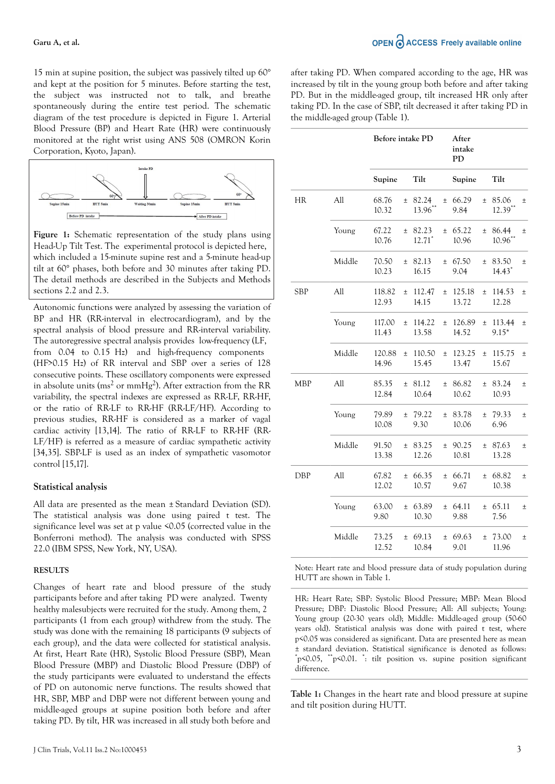15 min at supine position, the subject was passively tilted up 60° and kept at the position for 5 minutes. Before starting the test, the subject was instructed not to talk, and breathe spontaneously during the entire test period. The schematic diagram of the test procedure is depicted in Figure 1. Arterial Blood Pressure (BP) and Heart Rate (HR) were continuously monitored at the right wrist using ANS 508 (OMRON Korin Corporation, Kyoto, Japan).



**Figure 1:** Schematic representation of the study plans using Head-Up Tilt Test. The experimental protocol is depicted here, which included a 15-minute supine rest and a 5-minute head-up tilt at 60° phases, both before and 30 minutes after taking PD. The detail methods are described in the Subjects and Methods sections 2.2 and 2.3.

Autonomic functions were analyzed by assessing the variation of BP and HR (RR-interval in electrocardiogram), and by the spectral analysis of blood pressure and RR-interval variability. The autoregressive spectral analysis provides low-frequency (LF, from 0.04 to 0.15 Hz) and high-frequency components (HF>0.15 Hz) of RR interval and SBP over a series of 128 consecutive points. These oscillatory components were expressed in absolute units ( $\text{ms}^2$  or  $\text{mmHg}^2$ ). After extraction from the RR variability, the spectral indexes are expressed as RR-LF, RR-HF, or the ratio of RR-LF to RR-HF (RR-LF/HF). According to previous studies, RR-HF is considered as a marker of vagal cardiac activity [13,14]. The ratio of RR-LF to RR-HF (RR-LF/HF) is referred as a measure of cardiac sympathetic activity [34,35]. SBP-LF is used as an index of sympathetic vasomotor control [15,17].

#### **Statistical analysis**

All data are presented as the mean ± Standard Deviation (SD). The statistical analysis was done using paired t test. The significance level was set at p value <0.05 (corrected value in the Bonferroni method). The analysis was conducted with SPSS 22.0 (IBM SPSS, New York, NY, USA).

#### **RESULTS**

Changes of heart rate and blood pressure of the study participants before and after taking PD were analyzed. Twenty healthy malesubjects were recruited for the study. Among them, 2 participants (1 from each group) withdrew from the study. The study was done with the remaining 18 participants (9 subjects of each group), and the data were collected for statistical analysis. At first, Heart Rate (HR), Systolic Blood Pressure (SBP), Mean Blood Pressure (MBP) and Diastolic Blood Pressure (DBP) of the study participants were evaluated to understand the effects of PD on autonomic nerve functions. The results showed that HR, SBP, MBP and DBP were not different between young and middle-aged groups at supine position both before and after taking PD. By tilt, HR was increased in all study both before and after taking PD. When compared according to the age, HR was increased by tilt in the young group both before and after taking PD. But in the middle-aged group, tilt increased HR only after taking PD. In the case of SBP, tilt decreased it after taking PD in the middle-aged group (Table 1).

|            |        | Before intake PD |       |                   |       | After<br>intake<br><b>PD</b> |       |                     |       |
|------------|--------|------------------|-------|-------------------|-------|------------------------------|-------|---------------------|-------|
|            |        | Supine           |       | Tilt              |       | Supine                       |       | Tilt                |       |
| HR         | All    | 68.76<br>10.32   | $\pm$ | 82.24<br>13.96**  | $\pm$ | 66.29<br>9.84                | $\pm$ | 85.06<br>$12.39***$ | $\pm$ |
|            | Young  | 67.22<br>10.76   | $\pm$ | 82.23<br>$12.71*$ | $\pm$ | 65.22<br>10.96               | $\pm$ | 86.44<br>$10.96$ ** | $\pm$ |
|            | Middle | 70.50<br>10.23   | $\pm$ | 82.13<br>16.15    | $\pm$ | 67.50<br>9.04                | $\pm$ | 83.50<br>$14.43*$   | $\pm$ |
| <b>SBP</b> | All    | 118.82<br>12.93  | $\pm$ | 112.47<br>14.15   | $\pm$ | 125.18<br>13.72              | $\pm$ | 114.53<br>12.28     | $\pm$ |
|            | Young  | 117.00<br>11.43  | $\pm$ | 114.22<br>13.58   | $\pm$ | 126.89<br>14.52              | $\pm$ | 113.44<br>$9.15*$   | $\pm$ |
|            | Middle | 120.88<br>14.96  | $\pm$ | 110.50<br>15.45   | $\pm$ | 123.25<br>13.47              | $\pm$ | 115.75<br>15.67     | $\pm$ |
| <b>MBP</b> | All    | 85.35<br>12.84   | $\pm$ | 81.12<br>10.64    | $\pm$ | 86.82<br>10.62               | $\pm$ | 83.24<br>10.93      | $\pm$ |
|            | Young  | 79.89<br>10.08   | $\pm$ | 79.22<br>9.30     | $\pm$ | 83.78<br>10.06               | $\pm$ | 79.33<br>6.96       | $\pm$ |
|            | Middle | 91.50<br>13.38   | $\pm$ | 83.25<br>12.26    | $\pm$ | 90.25<br>10.81               | $\pm$ | 87.63<br>13.28      | $\pm$ |
| DBP        | All    | 67.82<br>12.02   | $\pm$ | 66.35<br>10.57    | $\pm$ | 66.71<br>9.67                | $\pm$ | 68.82<br>10.38      | $\pm$ |
|            | Young  | 63.00<br>9.80    | $\pm$ | 63.89<br>10.30    | $\pm$ | 64.11<br>9.88                | $\pm$ | 65.11<br>7.56       | $\pm$ |
|            | Middle | 73.25<br>12.52   | $\pm$ | 69.13<br>10.84    | $\pm$ | 69.63<br>9.01                | $\pm$ | 73.00<br>11.96      | $\pm$ |

Note: Heart rate and blood pressure data of study population during HUTT are shown in Table 1.

HR: Heart Rate; SBP: Systolic Blood Pressure; MBP: Mean Blood Pressure; DBP: Diastolic Blood Pressure; All: All subjects; Young: Young group (20-30 years old); Middle: Middle-aged group (50-60 years old). Statistical analysis was done with paired t test, where p<0.05 was considered as significant. Data are presented here as mean ± standard deviation. Statistical significance is denoted as follows: \*p<0.05, \*\*p<0.01. \* : tilt position vs. supine position significant difference.

**Table 1:** Changes in the heart rate and blood pressure at supine and tilt position during HUTT.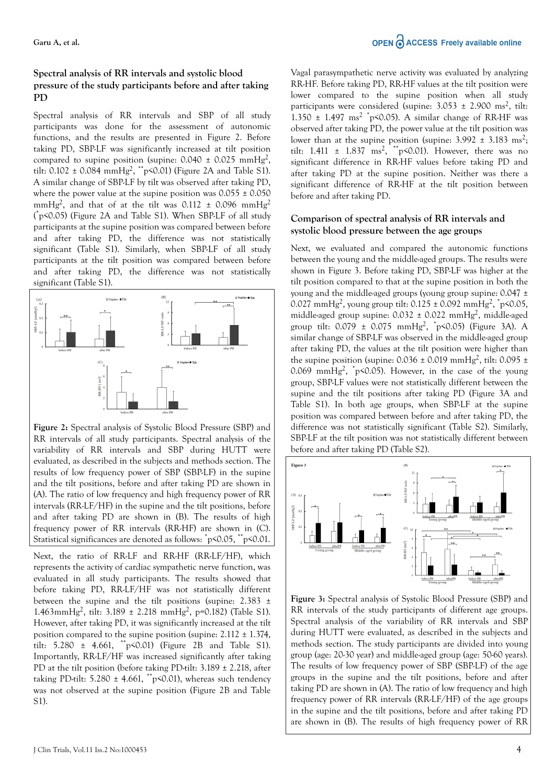### **Spectral analysis of RR intervals and systolic blood pressure of the study participants before and after taking PD**

Spectral analysis of RR intervals and SBP of all study participants was done for the assessment of autonomic functions, and the results are presented in Figure 2. Before taking PD, SBP-LF was significantly increased at tilt position compared to supine position (supine:  $0.040 \pm 0.025$  mmHg<sup>2</sup>, tilt: 0.102  $\pm$  0.084 mmHg<sup>2</sup>,  $\mathrm{^{**}}$ p<0.01) (Figure 2A and Table S1). A similar change of SBP-LF by tilt was observed after taking PD, where the power value at the supine position was  $0.055 \pm 0.050$ mmHg<sup>2</sup>, and that of at the tilt was  $0.112 \pm 0.096$  mmHg<sup>2</sup> ( \*p<0.05) (Figure 2A and Table S1). When SBP-LF of all study participants at the supine position was compared between before and after taking PD, the difference was not statistically significant (Table S1). Similarly, when SBP-LF of all study participants at the tilt position was compared between before and after taking PD, the difference was not statistically significant (Table S1).



**Figure 2:** Spectral analysis of Systolic Blood Pressure (SBP) and RR intervals of all study participants. Spectral analysis of the variability of RR intervals and SBP during HUTT were evaluated, as described in the subjects and methods section. The results of low frequency power of SBP (SBP-LF) in the supine and the tilt positions, before and after taking PD are shown in (A). The ratio of low frequency and high frequency power of RR intervals (RR-LF/HF) in the supine and the tilt positions, before and after taking PD are shown in (B). The results of high frequency power of RR intervals (RR-HF) are shown in (C). Statistical significances are denoted as follows: \*p<0.05, \*\*p<0.01.

Next, the ratio of RR-LF and RR-HF (RR-LF/HF), which represents the activity of cardiac sympathetic nerve function, was evaluated in all study participants. The results showed that before taking PD, RR-LF/HF was not statistically different between the supine and the tilt positions (supine: 2.383 ± 1.463mmHg<sup>2</sup>, tilt: 3.189 ± 2.218 mmHg<sup>2</sup>, p=0.182) (Table S1). However, after taking PD, it was significantly increased at the tilt position compared to the supine position (supine:  $2.112 \pm 1.374$ , tilt: 5.280 ± 4.661, \*\*p<0.01) (Figure 2B and Table S1). Importantly, RR-LF/HF was increased significantly after taking PD at the tilt position (before taking PD-tilt: 3.189 ± 2.218, after taking PD-tilt:  $5.280 \pm 4.661$ , \*\*p<0.01), whereas such tendency was not observed at the supine position (Figure 2B and Table S1).

Vagal parasympathetic nerve activity was evaluated by analyzing RR-HF. Before taking PD, RR-HF values at the tilt position were lower compared to the supine position when all study participants were considered (supine:  $3.053 \pm 2.900$  ms<sup>2</sup>, tilt: 1.350  $\pm$  1.497 ms<sup>2</sup>  $\degree$ p<0.05). A similar change of RR-HF was observed after taking PD, the power value at the tilt position was lower than at the supine position (supine:  $3.992 \pm 3.183$  ms<sup>2</sup>; tilt:  $1.411 \pm 1.837$  ms<sup>2</sup>, \*\*p<0.01). However, there was no significant difference in RR-HF values before taking PD and after taking PD at the supine position. Neither was there a significant difference of RR-HF at the tilt position between before and after taking PD.

### **Comparison of spectral analysis of RR intervals and systolic blood pressure between the age groups**

Next, we evaluated and compared the autonomic functions between the young and the middle-aged groups. The results were shown in Figure 3. Before taking PD, SBP-LF was higher at the tilt position compared to that at the supine position in both the young and the middle-aged groups (young group supine: 0.047 ± 0.027 mmHg<sup>2</sup>, young group tilt:  $0.125 \pm 0.092$  mmHg<sup>2</sup>,  $\epsilon$ <sup>+</sup>p<0.05, middle-aged group supine:  $0.032 \pm 0.022$  mmHg<sup>2</sup>, middle-aged group tilt:  $0.079 \pm 0.075 \text{ mmHg}^2$ ,  $^*p$ <0.05) (Figure 3A). A similar change of SBP-LF was observed in the middle-aged group after taking PD, the values at the tilt position were higher than the supine position (supine:  $0.036 \pm 0.019$  mmHg<sup>2</sup>, tilt:  $0.095 \pm$ 0.069 mmHg<sup>2</sup>,  $\text{p}$ <0.05). However, in the case of the young group, SBP-LF values were not statistically different between the supine and the tilt positions after taking PD (Figure 3A and Table S1). In both age groups, when SBP-LF at the supine position was compared between before and after taking PD, the difference was not statistically significant (Table S2). Similarly, SBP-LF at the tilt position was not statistically different between before and after taking PD (Table S2).



**Figure 3:** Spectral analysis of Systolic Blood Pressure (SBP) and RR intervals of the study participants of different age groups. Spectral analysis of the variability of RR intervals and SBP during HUTT were evaluated, as described in the subjects and methods section. The study participants are divided into young group (age: 20-30 year) and middle-aged group (age: 50-60 years). The results of low frequency power of SBP (SBP-LF) of the age groups in the supine and the tilt positions, before and after taking PD are shown in (A). The ratio of low frequency and high frequency power of RR intervals (RR-LF/HF) of the age groups in the supine and the tilt positions, before and after taking PD are shown in (B). The results of high frequency power of RR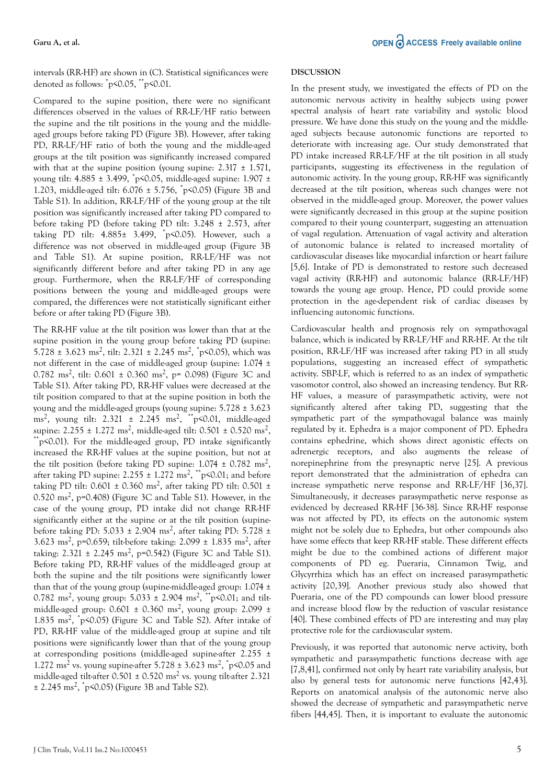intervals (RR-HF) are shown in (C). Statistical significances were denoted as follows: \*p<0.05, \*\*p<0.01.

Compared to the supine position, there were no significant differences observed in the values of RR-LF/HF ratio between the supine and the tilt positions in the young and the middleaged groups before taking PD (Figure 3B). However, after taking PD, RR-LF/HF ratio of both the young and the middle-aged groups at the tilt position was significantly increased compared with that at the supine position (young supine:  $2.317 \pm 1.571$ , young tilt: 4.885 ± 3.499, \*p<0.05, middle-aged supine: 1.907 ± 1.203, middle-aged tilt: 6.076 ± 5.756, \*p<0.05) (Figure 3B and Table S1). In addition, RR-LF/HF of the young group at the tilt position was significantly increased after taking PD compared to before taking PD (before taking PD tilt: 3.248 ± 2.573, after taking PD tilt: 4.885± 3.499, \*p<0.05). However, such a difference was not observed in middle-aged group (Figure 3B and Table S1). At supine position, RR-LF/HF was not significantly different before and after taking PD in any age group. Furthermore, when the RR-LF/HF of corresponding positions between the young and middle-aged groups were compared, the differences were not statistically significant either before or after taking PD (Figure 3B).

The RR-HF value at the tilt position was lower than that at the supine position in the young group before taking PD (supine: 5.728  $\pm$  3.623 ms<sup>2</sup>, tilt: 2.321  $\pm$  2.245 ms<sup>2</sup>, <sup>\*</sup>p<0.05), which was not different in the case of middle-aged group (supine: 1.074 ± 0.782 ms<sup>2</sup>, tilt: 0.601 ± 0.360 ms<sup>2</sup>, p= 0.098) (Figure 3C and Table S1). After taking PD, RR-HF values were decreased at the tilt position compared to that at the supine position in both the young and the middle-aged groups (young supine: 5.728 ± 3.623 ms<sup>2</sup>, young tilt: 2.321 ± 2.245 ms<sup>2</sup>, <sup>\*\*</sup>p<0.01, middle-aged supine:  $2.255 \pm 1.272 \text{ ms}^2$ , middle-aged tilt:  $0.501 \pm 0.520 \text{ ms}^2$ ,  $p^*p$ <0.01). For the middle-aged group, PD intake significantly increased the RR-HF values at the supine position, but not at the tilt position (before taking PD supine:  $1.074 \pm 0.782 \text{ ms}^2$ , after taking PD supine: 2.255  $\pm$  1.272 ms<sup>2</sup>,  $\mathrm{^{**}p}$ <0.01; and before taking PD tilt:  $0.601 \pm 0.360$  ms<sup>2</sup>, after taking PD tilt:  $0.501 \pm$ 0.520 ms<sup>2</sup>, p=0.408) (Figure 3C and Table S1). However, in the case of the young group, PD intake did not change RR-HF significantly either at the supine or at the tilt position (supinebefore taking PD: 5.033 ± 2.904 ms<sup>2</sup>, after taking PD: 5.728 ± 3.623 ms<sup>2</sup> , p=0.659; tilt-before taking: 2.099 ± 1.835 ms<sup>2</sup> , after taking:  $2.321 \pm 2.245 \text{ ms}^2$ , p=0.542) (Figure 3C and Table S1). Before taking PD, RR-HF values of the middle-aged group at both the supine and the tilt positions were significantly lower than that of the young group (supine-middle-aged group: 1.074 ± 0.782 ms<sup>2</sup>, young group:  $5.033 \pm 2.904$  ms<sup>2</sup>, \*\*p<0.01; and tiltmiddle-aged group:  $0.601 \pm 0.360$  ms<sup>2</sup>, young group: 2.099  $\pm$ 1.835 ms<sup>2</sup>, <sup>\*</sup>p<0.05) (Figure 3C and Table S2). After intake of PD, RR-HF value of the middle-aged group at supine and tilt positions were significantly lower than that of the young group at corresponding positions (middle-aged supine-after 2.255 ± 1.272 ms<sup>2</sup> vs. young supine-after  $5.728 \pm 3.623$  ms<sup>2</sup>,  $\degree$  p < 0.05 and middle-aged tilt-after  $0.501 \pm 0.520$  ms<sup>2</sup> vs. young tilt-after 2.321  $\pm$  2.245 ms<sup>2</sup>,  $\text{`p}$ <0.05) (Figure 3B and Table S2).

#### **DISCUSSION**

In the present study, we investigated the effects of PD on the autonomic nervous activity in healthy subjects using power spectral analysis of heart rate variability and systolic blood pressure. We have done this study on the young and the middleaged subjects because autonomic functions are reported to deteriorate with increasing age. Our study demonstrated that PD intake increased RR-LF/HF at the tilt position in all study participants, suggesting its effectiveness in the regulation of autonomic activity. In the young group, RR-HF was significantly decreased at the tilt position, whereas such changes were not observed in the middle-aged group. Moreover, the power values were significantly decreased in this group at the supine position compared to their young counterpart, suggesting an attenuation of vagal regulation. Attenuation of vagal activity and alteration of autonomic balance is related to increased mortality of cardiovascular diseases like myocardial infarction or heart failure [5,6]. Intake of PD is demonstrated to restore such decreased vagal activity (RR-HF) and autonomic balance (RR-LF/HF) towards the young age group. Hence, PD could provide some protection in the age-dependent risk of cardiac diseases by influencing autonomic functions.

Cardiovascular health and prognosis rely on sympathovagal balance, which is indicated by RR-LF/HF and RR-HF. At the tilt position, RR-LF/HF was increased after taking PD in all study populations, suggesting an increased effect of sympathetic activity. SBP-LF, which is referred to as an index of sympathetic vasomotor control, also showed an increasing tendency. But RR-HF values, a measure of parasympathetic activity, were not significantly altered after taking PD, suggesting that the sympathetic part of the sympathovagal balance was mainly regulated by it. Ephedra is a major component of PD. Ephedra contains ephedrine, which shows direct agonistic effects on adrenergic receptors, and also augments the release of norepinephrine from the presynaptic nerve [25]. A previous report demonstrated that the administration of ephedra can increase sympathetic nerve response and RR-LF/HF [36,37]. Simultaneously, it decreases parasympathetic nerve response as evidenced by decreased RR-HF [36-38]. Since RR-HF response was not affected by PD, its effects on the autonomic system might not be solely due to Ephedra, but other compounds also have some effects that keep RR-HF stable. These different effects might be due to the combined actions of different major components of PD eg. Pueraria, Cinnamon Twig, and Glycyrrhiza which has an effect on increased parasympathetic activity [20,39]. Another previous study also showed that Pueraria, one of the PD compounds can lower blood pressure and increase blood flow by the reduction of vascular resistance [40]. These combined effects of PD are interesting and may play protective role for the cardiovascular system.

Previously, it was reported that autonomic nerve activity, both sympathetic and parasympathetic functions decrease with age [7,8,41], confirmed not only by heart rate variability analysis, but also by general tests for autonomic nerve functions [42,43]. Reports on anatomical analysis of the autonomic nerve also showed the decrease of sympathetic and parasympathetic nerve fibers [44,45]. Then, it is important to evaluate the autonomic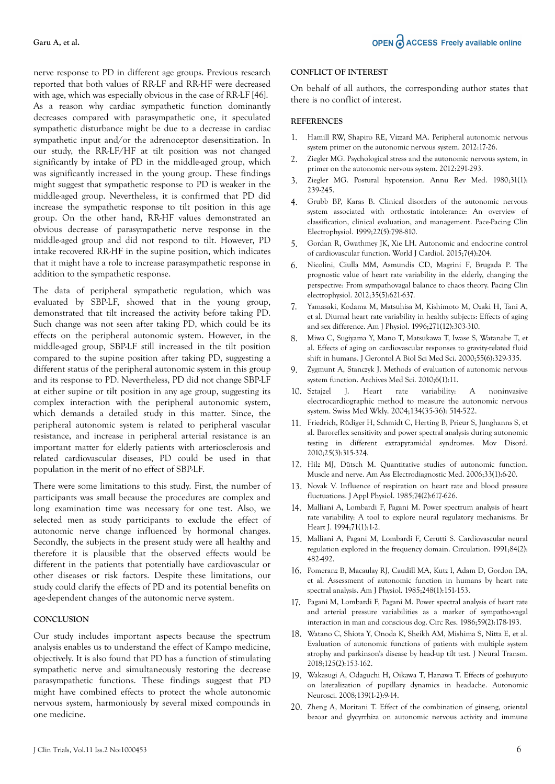nerve response to PD in different age groups. Previous research reported that both values of RR-LF and RR-HF were decreased with age, which was especially obvious in the case of RR-LF [46]. As a reason why cardiac sympathetic function dominantly decreases compared with parasympathetic one, it speculated sympathetic disturbance might be due to a decrease in cardiac sympathetic input and/or the adrenoceptor desensitization. In our study, the RR-LF/HF at tilt position was not changed significantly by intake of PD in the middle-aged group, which was significantly increased in the young group. These findings might suggest that sympathetic response to PD is weaker in the middle-aged group. Nevertheless, it is confirmed that PD did increase the sympathetic response to tilt position in this age group. On the other hand, RR-HF values demonstrated an obvious decrease of parasympathetic nerve response in the middle-aged group and did not respond to tilt. However, PD intake recovered RR-HF in the supine position, which indicates that it might have a role to increase parasympathetic response in addition to the sympathetic response.

The data of peripheral sympathetic regulation, which was evaluated by SBP-LF, showed that in the young group, demonstrated that tilt increased the activity before taking PD. Such change was not seen after taking PD, which could be its effects on the peripheral autonomic system. However, in the middle-aged group, SBP-LF still increased in the tilt position compared to the supine position after taking PD, suggesting a different status of the peripheral autonomic system in this group and its response to PD. Nevertheless, PD did not change SBP-LF at either supine or tilt position in any age group, suggesting its complex interaction with the peripheral autonomic system, which demands a detailed study in this matter. Since, the peripheral autonomic system is related to peripheral vascular resistance, and increase in peripheral arterial resistance is an important matter for elderly patients with arteriosclerosis and related cardiovascular diseases, PD could be used in that population in the merit of no effect of SBP-LF.

There were some limitations to this study. First, the number of participants was small because the procedures are complex and long examination time was necessary for one test. Also, we selected men as study participants to exclude the effect of autonomic nerve change influenced by hormonal changes. Secondly, the subjects in the present study were all healthy and therefore it is plausible that the observed effects would be different in the patients that potentially have cardiovascular or other diseases or risk factors. Despite these limitations, our study could clarify the effects of PD and its potential benefits on age-dependent changes of the autonomic nerve system.

#### **CONCLUSION**

Our study includes important aspects because the spectrum analysis enables us to understand the effect of Kampo medicine, objectively. It is also found that PD has a function of stimulating sympathetic nerve and simultaneously restoring the decrease parasympathetic functions. These findings suggest that PD might have combined effects to protect the whole autonomic nervous system, harmoniously by several mixed compounds in one medicine.

#### **CONFLICT OF INTEREST**

On behalf of all authors, the corresponding author states that there is no conflict of interest.

#### **REFERENCES**

- 1. [Hamill RW, Shapiro RE, Vizzard MA. Peripheral autonomic nervous](https://doi.org/10.1016/b978-0-12-386525-0.00004-4) [system primer on the autonomic nervous system. 2012:17-26](https://doi.org/10.1016/b978-0-12-386525-0.00004-4).
- 2. [Ziegler MG. Psychological stress and the autonomic nervous system, in](https://doi.org/10.1016/b978-0-12-386525-0.00061-5) [primer on the autonomic nervous system. 2012:291-293.](https://doi.org/10.1016/b978-0-12-386525-0.00061-5)
- 3. [Ziegler MG. Postural hypotension. Annu Rev Med. 1980;31\(1\):](https://doi.org/10.1146/annurev.me.31.020180.001323) [239-245.](https://doi.org/10.1146/annurev.me.31.020180.001323)
- 4. [Grubb BP, Karas B. Clinical disorders of the autonomic nervous](https://doi.org/10.1111/j.1540-8159.1999.tb00546.x) [system associated with orthostatic intolerance: An overview of](https://doi.org/10.1111/j.1540-8159.1999.tb00546.x) [classification, clinical evaluation, and management. Pace-Pacing Clin](https://doi.org/10.1111/j.1540-8159.1999.tb00546.x) [Electrophysiol. 1999;22\(5\):798-810.](https://doi.org/10.1111/j.1540-8159.1999.tb00546.x)
- 5. [Gordan R, Gwathmey JK, Xie LH. Autonomic and endocrine control](https://doi.org/10.4330/wjc.v7.i4.204) [of cardiovascular function. World J Cardiol. 2015;7\(4\):204.](https://doi.org/10.4330/wjc.v7.i4.204)
- 6. [Nicolini, Ciulla MM, Asmundis CD, Magrini F, Brugada P. The](https://doi.org/10.1111/j.1540-8159.2012.03335.x) [prognostic value of heart rate variability in the elderly, changing the](https://doi.org/10.1111/j.1540-8159.2012.03335.x) [perspective: From sympathovagal balance to chaos theory. Pacing Clin](https://doi.org/10.1111/j.1540-8159.2012.03335.x) [electrophysiol. 2012;35\(5\):621-637.](https://doi.org/10.1111/j.1540-8159.2012.03335.x)
- 7. [Yamasaki, Kodama M, Matsuhisa M, Kishimoto M, Ozaki H, Tani A,](https://doi.org/10.1152/ajpheart.1996.271.1.h303) [et al. Diurnal heart rate variability in healthy subjects: Effects of aging](https://doi.org/10.1152/ajpheart.1996.271.1.h303) [and sex difference. Am J Physiol. 1996;271\(12\):303-310.](https://doi.org/10.1152/ajpheart.1996.271.1.h303)
- 8. [Miwa C, Sugiyama Y, Mano T, Matsukawa T, Iwase S, Watanabe T, et](https://doi.org/10.1093/gerona/55.6.m329) [al. Effects of aging on cardiovascular responses to gravity-related fluid](https://doi.org/10.1093/gerona/55.6.m329) [shift in humans. J Gerontol A Biol Sci Med Sci. 2000;55\(6\):329-335.](https://doi.org/10.1093/gerona/55.6.m329)
- 9. [Zygmunt A, Stanczyk J. Methods of evaluation of autonomic nervous](https://doi.org/10.5114/aoms.2010.13500) [system function. Archives Med Sci. 2010;6\(1\):11.](https://doi.org/10.5114/aoms.2010.13500)
- 10. Sztajzel J. Heart rate variability: A noninvasive electrocardiographic method to measure the autonomic nervous system. Swiss Med Wkly. 2004;134(35-36): 514-522.
- 11. [Friedrich, Rüdiger H, Schmidt C, Herting B, Prieur S, Junghanns S, et](https://doi.org/10.1002/mds.22844) [al. Baroreflex sensitivity and power spectral analysis during autonomic](https://doi.org/10.1002/mds.22844) [testing in different extrapyramidal syndromes. Mov Disord.](https://doi.org/10.1002/mds.22844) [2010;25\(3\):315-324.](https://doi.org/10.1002/mds.22844)
- 12. [Hilz MJ, Dütsch M. Quantitative studies of autonomic function.](https://doi.org/10.1002/mus.20365) [Muscle and nerve. Am Ass Electrodiagnostic Med. 2006;33\(1\):6-20.](https://doi.org/10.1002/mus.20365)
- 13. [Novak V. Influence of respiration on heart rate and blood pressure](https://doi.org/10.1152/jappl.1993.74.2.617) [fluctuations. J Appl Physiol. 1985;74\(2\):617-626.](https://doi.org/10.1152/jappl.1993.74.2.617)
- 14. [Malliani A, Lombardi F, Pagani M. Power spectrum analysis of heart](https://doi.org/10.1136/hrt.71.1.1) [rate variability: A tool to explore neural regulatory mechanisms. Br](https://doi.org/10.1136/hrt.71.1.1) [Heart J. 1994;71\(1\):1-2.](https://doi.org/10.1136/hrt.71.1.1)
- 15. [Malliani A, Pagani M, Lombardi F, Cerutti S. Cardiovascular neural](https://doi.org/10.1161/01.cir.84.2.482) [regulation explored in the frequency domain. Circulation. 1991;84\(2\):](https://doi.org/10.1161/01.cir.84.2.482) [482-492.](https://doi.org/10.1161/01.cir.84.2.482)
- 16. [Pomeranz B, Macaulay RJ, Caudill MA, Kutz I, Adam D, Gordon DA,](https://doi.org/10.1152/ajpheart.1985.248.1.h151) [et al. Assessment of autonomic function in humans by heart rate](https://doi.org/10.1152/ajpheart.1985.248.1.h151) [spectral analysis. Am J Physiol. 1985;248\(1\):151-153.](https://doi.org/10.1152/ajpheart.1985.248.1.h151)
- 17. [Pagani M, Lombardi F, Pagani M. Power spectral analysis of heart rate](https://doi.org/10.1161/01.res.59.2.178) [and arterial pressure variabilities as a marker of sympatho-vagal](https://doi.org/10.1161/01.res.59.2.178) [interaction in man and conscious dog. Circ Res. 1986;59\(2\):178-193.](https://doi.org/10.1161/01.res.59.2.178)
- 18. [Watano C, Shiota Y, Onoda K, Sheikh AM, Mishima S, Nitta E, et al.](https://doi.org/10.1007/s00702-017-1816-6) [Evaluation of autonomic functions of patients with multiple system](https://doi.org/10.1007/s00702-017-1816-6) [atrophy and parkinson's disease by head-up tilt test. J Neural Transm.](https://doi.org/10.1007/s00702-017-1816-6) [2018;125\(2\):153-162.](https://doi.org/10.1007/s00702-017-1816-6)
- 19. [Wakasugi A, Odaguchi H, Oikawa T, Hanawa T. Effects of goshuyuto](https://doi.org/10.1016/j.autneu.2007.12.002) [on lateralization of pupillary dynamics in headache. Autonomic](https://doi.org/10.1016/j.autneu.2007.12.002) [Neurosci. 2008;139\(1-2\):9-14.](https://doi.org/10.1016/j.autneu.2007.12.002)
- 20. [Zheng A, Moritani T. Effect of the combination of ginseng, oriental](https://doi.org/10.3177/jnsv.54.244) [bezoar and glycyrrhiza on autonomic nervous activity and immune](https://doi.org/10.3177/jnsv.54.244)